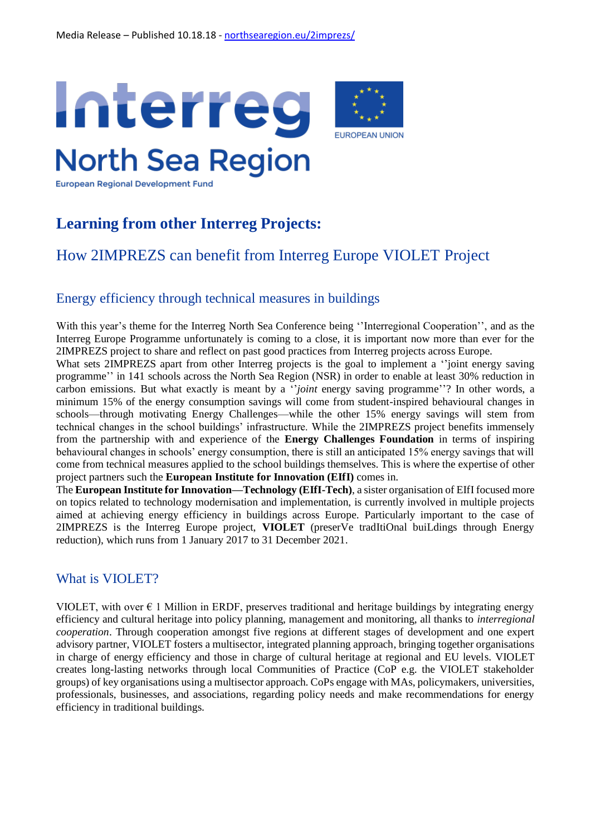

**European Regional Development Fund** 

# **Learning from other Interreg Projects:**

## How 2IMPREZS can benefit from Interreg Europe VIOLET Project

#### Energy efficiency through technical measures in buildings

With this year's theme for the Interreg North Sea Conference being "Interregional Cooperation", and as the Interreg Europe Programme unfortunately is coming to a close, it is important now more than ever for the 2IMPREZS project to share and reflect on past good practices from Interreg projects across Europe.

What sets 2IMPREZS apart from other Interreg projects is the goal to implement a "joint energy saving programme'' in 141 schools across the North Sea Region (NSR) in order to enable at least 30% reduction in carbon emissions. But what exactly is meant by a ''*joint* energy saving programme''? In other words, a minimum 15% of the energy consumption savings will come from student-inspired behavioural changes in schools—through motivating Energy Challenges—while the other 15% energy savings will stem from technical changes in the school buildings' infrastructure. While the 2IMPREZS project benefits immensely from the partnership with and experience of the **Energy Challenges Foundation** in terms of inspiring behavioural changes in schools' energy consumption, there is still an anticipated 15% energy savings that will come from technical measures applied to the school buildings themselves. This is where the expertise of other project partners such the **European Institute for Innovation (EIfI)** comes in.

The **European Institute for Innovation—Technology (EIfI-Tech)**, a sister organisation of EIfI focused more on topics related to technology modernisation and implementation, is currently involved in multiple projects aimed at achieving energy efficiency in buildings across Europe. Particularly important to the case of 2IMPREZS is the Interreg Europe project, **VIOLET** (preserVe tradItiOnal buiLdings through Energy reduction), which runs from 1 January 2017 to 31 December 2021.

#### What is VIOLET?

VIOLET, with over  $\epsilon$  1 Million in ERDF, preserves traditional and heritage buildings by integrating energy efficiency and cultural heritage into policy planning, management and monitoring, all thanks to *interregional cooperation*. Through cooperation amongst five regions at different stages of development and one expert advisory partner, VIOLET fosters a multisector, integrated planning approach, bringing together organisations in charge of energy efficiency and those in charge of cultural heritage at regional and EU levels. VIOLET creates long-lasting networks through local Communities of Practice (CoP e.g. the VIOLET stakeholder groups) of key organisations using a multisector approach. CoPs engage with MAs, policymakers, universities, professionals, businesses, and associations, regarding policy needs and make recommendations for energy efficiency in traditional buildings.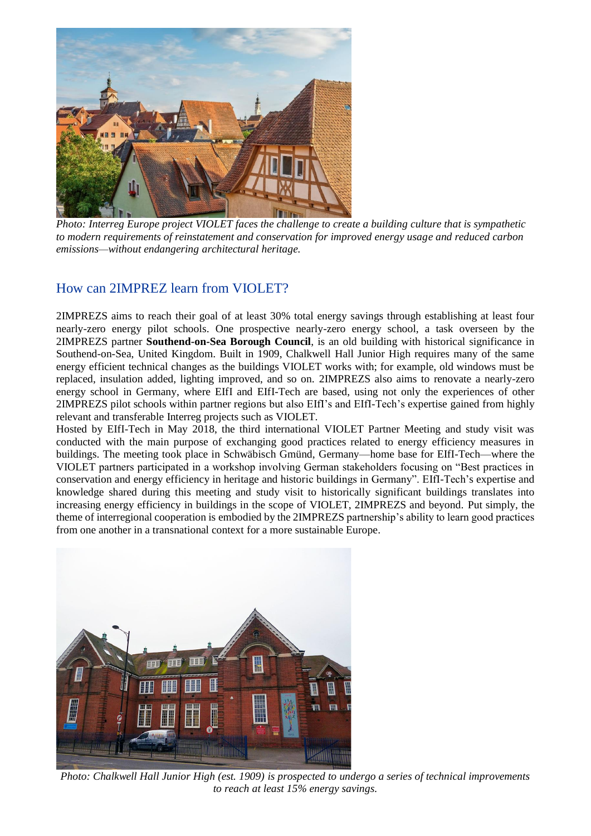

*Photo: Interreg Europe project VIOLET faces the challenge to create a building culture that is sympathetic to modern requirements of reinstatement and conservation for improved energy usage and reduced carbon emissions—without endangering architectural heritage.* 

### How can 2IMPREZ learn from VIOLET?

2IMPREZS aims to reach their goal of at least 30% total energy savings through establishing at least four nearly-zero energy pilot schools. One prospective nearly-zero energy school, a task overseen by the 2IMPREZS partner **Southend-on-Sea Borough Council**, is an old building with historical significance in Southend-on-Sea, United Kingdom. Built in 1909, Chalkwell Hall Junior High requires many of the same energy efficient technical changes as the buildings VIOLET works with; for example, old windows must be replaced, insulation added, lighting improved, and so on. 2IMPREZS also aims to renovate a nearly-zero energy school in Germany, where EIfI and EIfI-Tech are based, using not only the experiences of other 2IMPREZS pilot schools within partner regions but also EIfI's and EIfI-Tech's expertise gained from highly relevant and transferable Interreg projects such as VIOLET.

Hosted by EIfI-Tech in May 2018, the third international VIOLET Partner Meeting and study visit was conducted with the main purpose of exchanging good practices related to energy efficiency measures in buildings. The meeting took place in Schwäbisch Gmünd, Germany—home base for EIfI-Tech—where the VIOLET partners participated in a workshop involving German stakeholders focusing on "Best practices in conservation and energy efficiency in heritage and historic buildings in Germany". EIfI-Tech's expertise and knowledge shared during this meeting and study visit to historically significant buildings translates into increasing energy efficiency in buildings in the scope of VIOLET, 2IMPREZS and beyond. Put simply, the theme of interregional cooperation is embodied by the 2IMPREZS partnership's ability to learn good practices from one another in a transnational context for a more sustainable Europe.



*Photo: Chalkwell Hall Junior High (est. 1909) is prospected to undergo a series of technical improvements to reach at least 15% energy savings.*